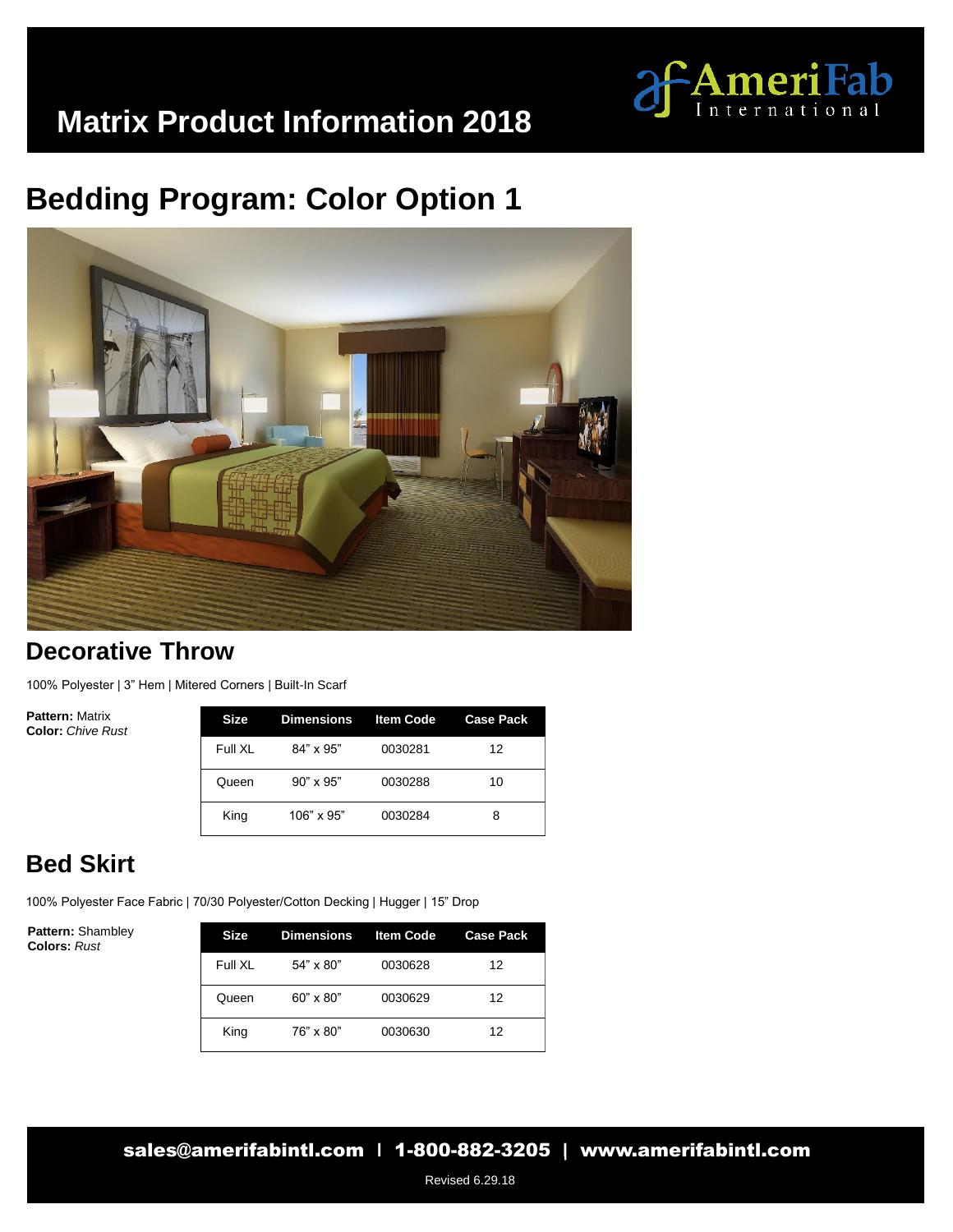

## **Bedding Program: Color Option 1**



#### **Decorative Throw**

100% Polyester | 3" Hem | Mitered Corners | Built-In Scarf

**Pattern:** Matrix **Color:** *Chive Rust* 

| Size    | Dimensions       | <b>Item Code</b> | <b>Case Pack</b> |
|---------|------------------|------------------|------------------|
| Full XI | $84" \times 95"$ | 0030281          | 12               |
| Queen   | $90" \times 95"$ | 0030288          | 10               |
| King    | 106" x 95"       | 0030284          | 8                |

### **Bed Skirt**

100% Polyester Face Fabric | 70/30 Polyester/Cotton Decking | Hugger | 15" Drop

**Pattern:** Shambley **Colors:** *Rust* 

| Size    | Dimensions Item Code |         | <b>Case Pack</b> |
|---------|----------------------|---------|------------------|
| Full XL | $54" \times 80"$     | 0030628 | 12               |
| Queen   | $60" \times 80"$     | 0030629 | 12               |
| King    | 76" x 80"            | 0030630 | 12               |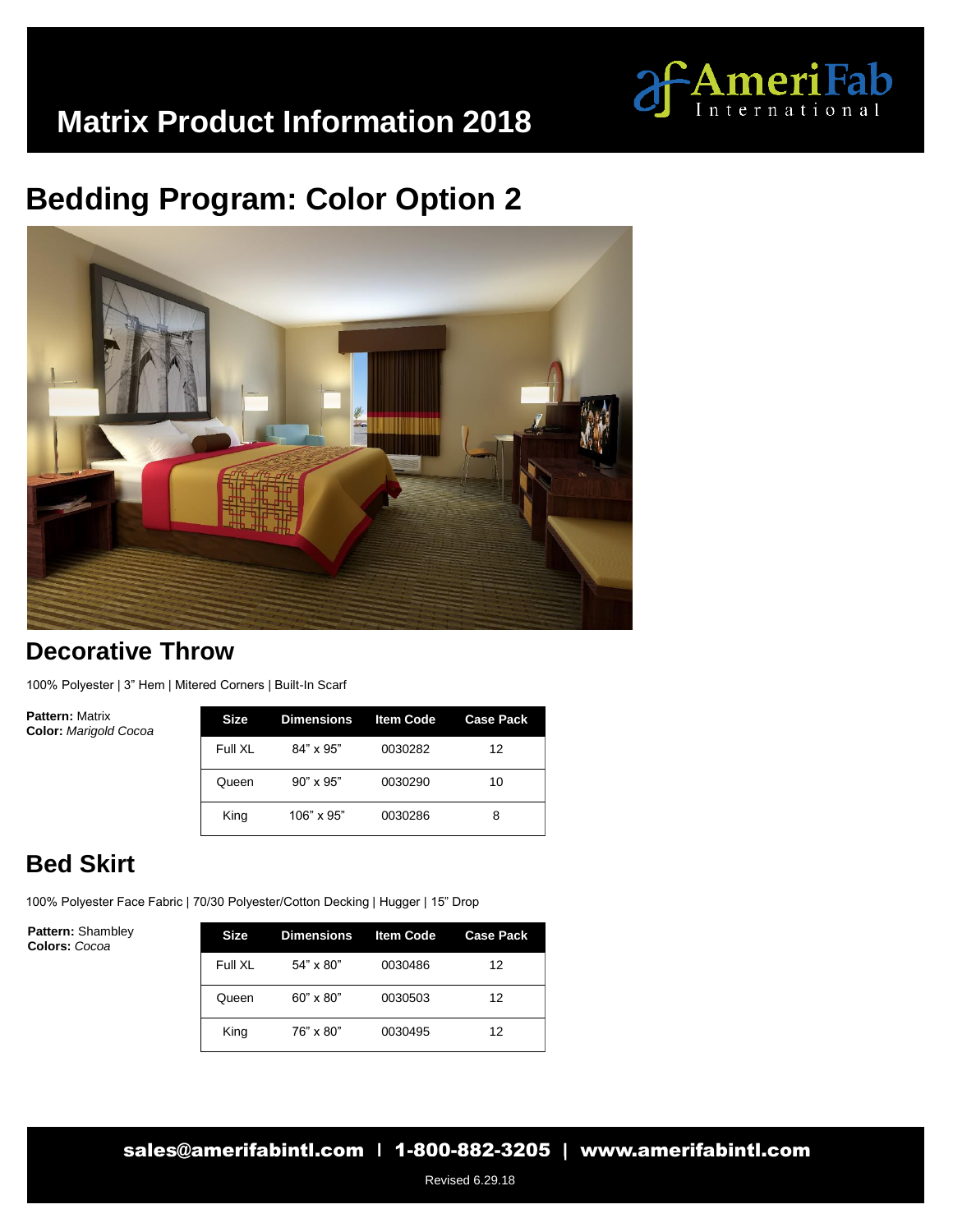

## **Bedding Program: Color Option 2**



#### **Decorative Throw**

100% Polyester | 3" Hem | Mitered Corners | Built-In Scarf

**Pattern:** Matrix **Color:** *Marigold Cocoa* 

| Size    | Dimensions       | <b>Item Code</b> | <b>Case Pack</b> |
|---------|------------------|------------------|------------------|
| Full XL | $84" \times 95"$ | 0030282          | 12               |
| Queen   | $90" \times 95"$ | 0030290          | 10               |
| King    | 106" x 95"       | 0030286          | 8                |

### **Bed Skirt**

100% Polyester Face Fabric | 70/30 Polyester/Cotton Decking | Hugger | 15" Drop

**Pattern:** Shambley **Colors:** *Cocoa*

| <b>Size</b> | <b>Dimensions</b> | <b>Item Code</b> | <b>Case Pack</b> |
|-------------|-------------------|------------------|------------------|
| Full XI     | $54" \times 80"$  | 0030486          | 12               |
| Queen       | $60" \times 80"$  | 0030503          | 12               |
| King        | 76" x 80"         | 0030495          | 12               |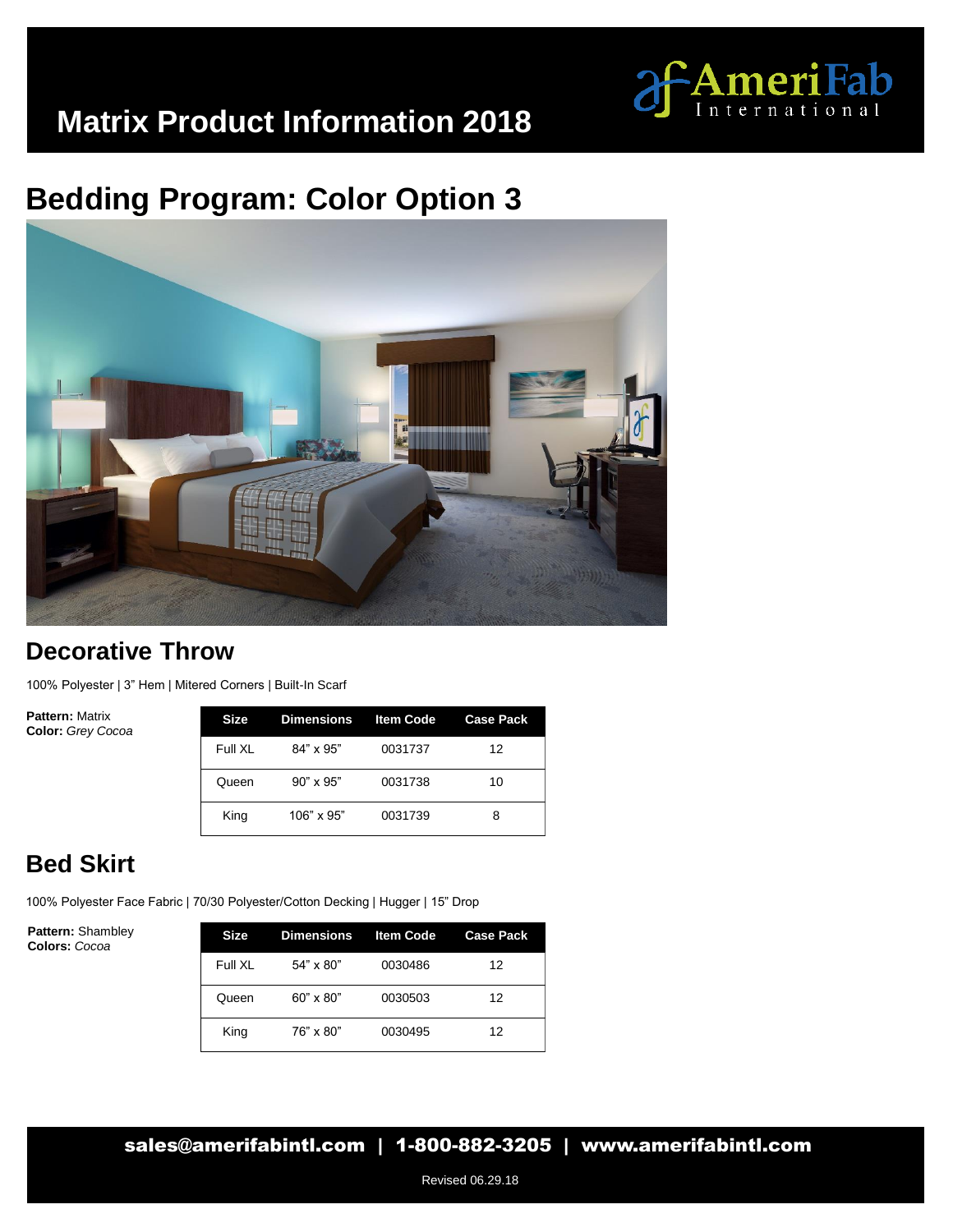

# **Bedding Program: Color Option 3**



#### **Decorative Throw**

100% Polyester | 3" Hem | Mitered Corners | Built-In Scarf

**Pattern:** Matrix **Color:** *Grey Cocoa*

| Size    | Dimensions        | <b>Item Code</b> | <b>Case Pack</b> |
|---------|-------------------|------------------|------------------|
| Full XI | $84" \times 95"$  | 0031737          | 12               |
| Queen   | $90" \times 95"$  | 0031738          | 10               |
| King    | $106" \times 95"$ | 0031739          | 8                |

### **Bed Skirt**

100% Polyester Face Fabric | 70/30 Polyester/Cotton Decking | Hugger | 15" Drop

**Pattern:** Shambley **Colors:** *Cocoa*

| Size    | Dimensions Item Code |         | <b>Case Pack</b> |
|---------|----------------------|---------|------------------|
| Full XL | $54" \times 80"$     | 0030486 | 12               |
| Queen   | $60" \times 80"$     | 0030503 | 12               |
| King    | 76" x 80"            | 0030495 | 12               |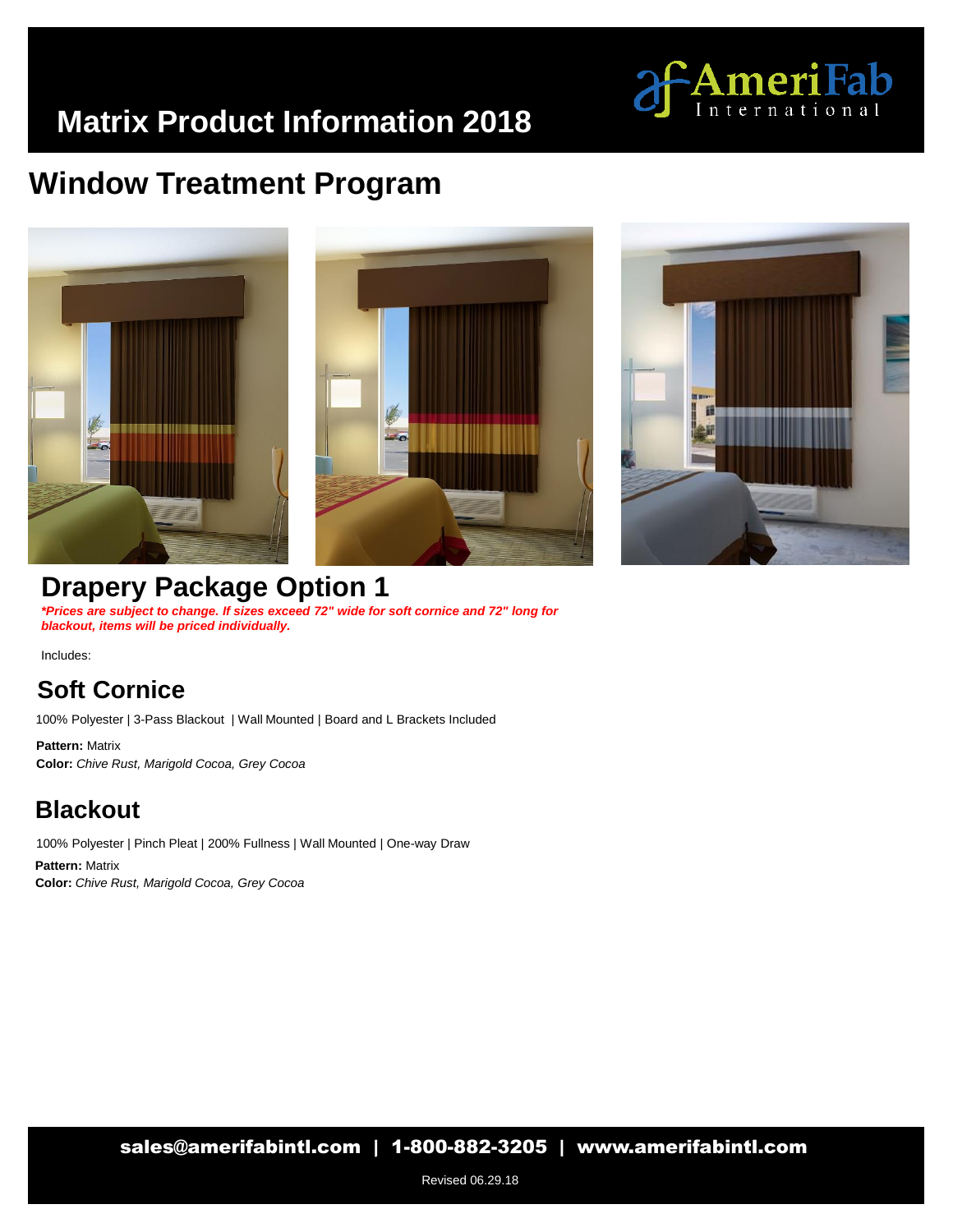

## **Window Treatment Program**





### **Drapery Package Option 1**

*\*Prices are subject to change. If sizes exceed 72" wide for soft cornice and 72" long for blackout, items will be priced individually.*

Includes:

### **Soft Cornice**

100% Polyester | 3-Pass Blackout | Wall Mounted | Board and L Brackets Included

**Pattern:** Matrix **Color:** *Chive Rust, Marigold Cocoa, Grey Cocoa*

#### **Blackout**

100% Polyester | Pinch Pleat | 200% Fullness | Wall Mounted | One-way Draw **Color:** *Chive Rust, Marigold Cocoa, Grey Cocoa* **Pattern:** Matrix